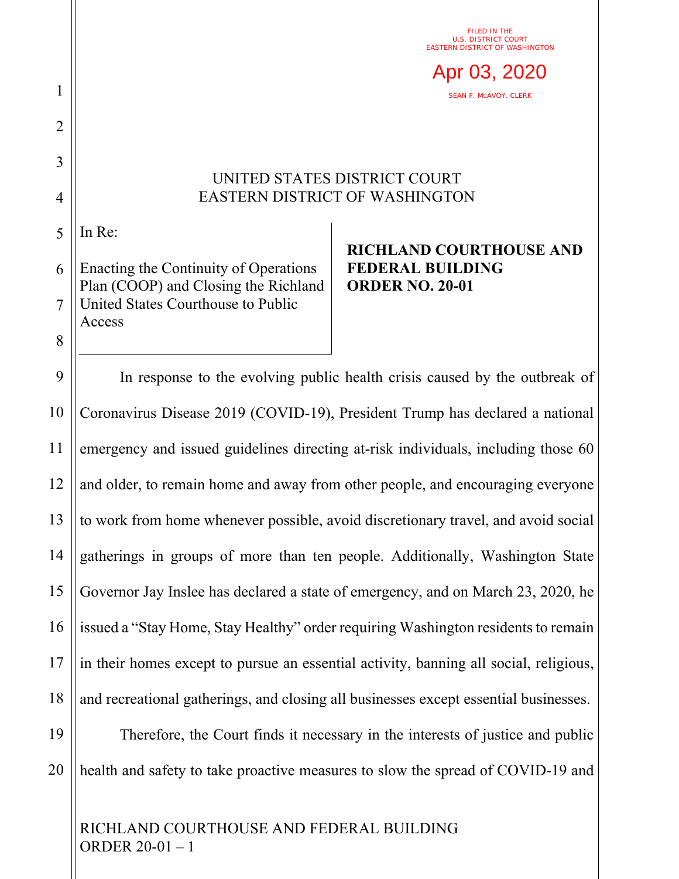FILED IN THE U.S. DISTRICT COURT EASTERN DISTRICT OF WASHINGTON



## UNITED STATES DISTRICT COURT EASTERN DISTRICT OF WASHINGTON

5 In Re:

1

2

3

4

8

6 7 Enacting the Continuity of Operations Plan (COOP) and Closing the Richland United States Courthouse to Public Access

## **RICHLAND COURTHOUSE AND FEDERAL BUILDING ORDER NO. 20-01**

9 10 11 12 13 14 15 16 17 18 In response to the evolving public health crisis caused by the outbreak of Coronavirus Disease 2019 (COVID-19), President Trump has declared a national emergency and issued guidelines directing at-risk individuals, including those 60 and older, to remain home and away from other people, and encouraging everyone to work from home whenever possible, avoid discretionary travel, and avoid social gatherings in groups of more than ten people. Additionally, Washington State Governor Jay Inslee has declared a state of emergency, and on March 23, 2020, he issued a "Stay Home, Stay Healthy" order requiring Washington residents to remain in their homes except to pursue an essential activity, banning all social, religious, and recreational gatherings, and closing all businesses except essential businesses.

19 20 Therefore, the Court finds it necessary in the interests of justice and public health and safety to take proactive measures to slow the spread of COVID-19 and

RICHLAND COURTHOUSE AND FEDERAL BUILDING ORDER 20-01 – 1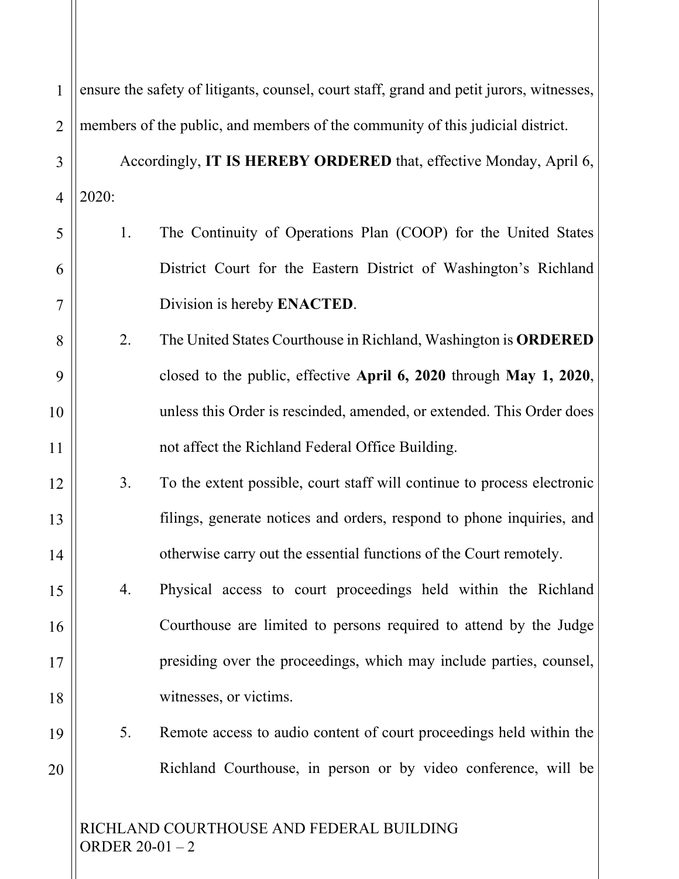| 1              | ensure the safety of litigants, counsel, court staff, grand and petit jurors, witnesses, |                                                                         |
|----------------|------------------------------------------------------------------------------------------|-------------------------------------------------------------------------|
| $\overline{2}$ | members of the public, and members of the community of this judicial district.           |                                                                         |
| 3              |                                                                                          | Accordingly, IT IS HEREBY ORDERED that, effective Monday, April 6,      |
| $\overline{4}$ | 2020:                                                                                    |                                                                         |
| 5              | 1.                                                                                       | The Continuity of Operations Plan (COOP) for the United States          |
| 6              |                                                                                          | District Court for the Eastern District of Washington's Richland        |
| 7              |                                                                                          | Division is hereby <b>ENACTED</b> .                                     |
| 8              | 2.                                                                                       | The United States Courthouse in Richland, Washington is ORDERED         |
| 9              |                                                                                          | closed to the public, effective April 6, 2020 through May 1, 2020,      |
| 10             |                                                                                          | unless this Order is rescinded, amended, or extended. This Order does   |
| 11             |                                                                                          | not affect the Richland Federal Office Building.                        |
| 12             | 3.                                                                                       | To the extent possible, court staff will continue to process electronic |
| 13             |                                                                                          | filings, generate notices and orders, respond to phone inquiries, and   |
| 14             |                                                                                          | otherwise carry out the essential functions of the Court remotely.      |
| 15             | 4.                                                                                       | Physical access to court proceedings held within the Richland           |
| 16             |                                                                                          | Courthouse are limited to persons required to attend by the Judge       |
| 17             |                                                                                          | presiding over the proceedings, which may include parties, counsel,     |
| 18             |                                                                                          | witnesses, or victims.                                                  |
| 19             | 5.                                                                                       | Remote access to audio content of court proceedings held within the     |
| 20             |                                                                                          | Richland Courthouse, in person or by video conference, will be          |
|                | RICHLAND COURTHOUSE AND FEDERAL BUILDING                                                 |                                                                         |

ORDER 20-01 – 2